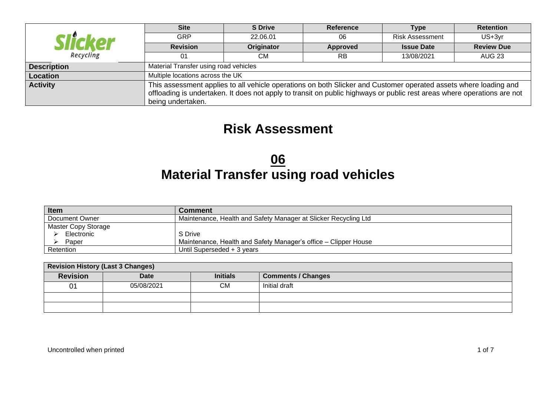|                    | <b>Site</b>                      | <b>S</b> Drive                        | <b>Reference</b>                                                                                                        | Type                   | <b>Retention</b>  |  |  |  |  |  |  |
|--------------------|----------------------------------|---------------------------------------|-------------------------------------------------------------------------------------------------------------------------|------------------------|-------------------|--|--|--|--|--|--|
| Slicker            | <b>GRP</b>                       | 22.06.01                              | 06                                                                                                                      | <b>Risk Assessment</b> | US+3yr            |  |  |  |  |  |  |
|                    | <b>Revision</b>                  | Originator                            | Approved                                                                                                                | <b>Issue Date</b>      | <b>Review Due</b> |  |  |  |  |  |  |
| Recycling          | 01                               | СM                                    | RB                                                                                                                      | 13/08/2021             | <b>AUG 23</b>     |  |  |  |  |  |  |
| <b>Description</b> |                                  | Material Transfer using road vehicles |                                                                                                                         |                        |                   |  |  |  |  |  |  |
| Location           | Multiple locations across the UK |                                       |                                                                                                                         |                        |                   |  |  |  |  |  |  |
| <b>Activity</b>    |                                  |                                       | This assessment applies to all vehicle operations on both Slicker and Customer operated assets where loading and        |                        |                   |  |  |  |  |  |  |
|                    |                                  |                                       | offloading is undertaken. It does not apply to transit on public highways or public rest areas where operations are not |                        |                   |  |  |  |  |  |  |
|                    | being undertaken.                |                                       |                                                                                                                         |                        |                   |  |  |  |  |  |  |

## **Risk Assessment**

## **06 Material Transfer using road vehicles**

| <b>Item</b>         | Comment                                                         |
|---------------------|-----------------------------------------------------------------|
| Document Owner      | Maintenance, Health and Safety Manager at Slicker Recycling Ltd |
| Master Copy Storage |                                                                 |
| Electronic          | S Drive                                                         |
| Paper               | Maintenance, Health and Safety Manager's office – Clipper House |
| Retention           | Until Superseded + 3 years                                      |

| <b>Revision History (Last 3 Changes)</b> |            |                 |                           |  |  |  |  |  |
|------------------------------------------|------------|-----------------|---------------------------|--|--|--|--|--|
| <b>Revision</b>                          | Date       | <b>Initials</b> | <b>Comments / Changes</b> |  |  |  |  |  |
| 01                                       | 05/08/2021 | <b>CM</b>       | Initial draft             |  |  |  |  |  |
|                                          |            |                 |                           |  |  |  |  |  |
|                                          |            |                 |                           |  |  |  |  |  |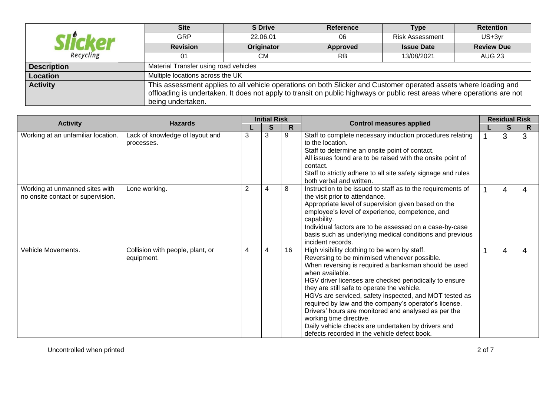|                    | <b>Site</b>                                                                                                             | <b>S</b> Drive                        | <b>Reference</b>                                                                                                 | <b>Type</b>            | <b>Retention</b>  |  |  |  |  |  |  |  |
|--------------------|-------------------------------------------------------------------------------------------------------------------------|---------------------------------------|------------------------------------------------------------------------------------------------------------------|------------------------|-------------------|--|--|--|--|--|--|--|
|                    | GRP                                                                                                                     | 22.06.01                              | 06                                                                                                               | <b>Risk Assessment</b> | US+3yr            |  |  |  |  |  |  |  |
|                    | <b>Revision</b>                                                                                                         | Originator                            | Approved                                                                                                         | <b>Issue Date</b>      | <b>Review Due</b> |  |  |  |  |  |  |  |
| Recycling          | 01                                                                                                                      | CМ                                    | <b>RB</b>                                                                                                        | 13/08/2021             | AUG 23            |  |  |  |  |  |  |  |
| <b>Description</b> |                                                                                                                         | Material Transfer using road vehicles |                                                                                                                  |                        |                   |  |  |  |  |  |  |  |
| Location           | Multiple locations across the UK                                                                                        |                                       |                                                                                                                  |                        |                   |  |  |  |  |  |  |  |
| <b>Activity</b>    |                                                                                                                         |                                       | This assessment applies to all vehicle operations on both Slicker and Customer operated assets where loading and |                        |                   |  |  |  |  |  |  |  |
|                    | offloading is undertaken. It does not apply to transit on public highways or public rest areas where operations are not |                                       |                                                                                                                  |                        |                   |  |  |  |  |  |  |  |
|                    | being undertaken.                                                                                                       |                                       |                                                                                                                  |                        |                   |  |  |  |  |  |  |  |

| <b>Activity</b>                                                     | <b>Hazards</b>                                 | <b>Initial Risk</b> |   |    | <b>Control measures applied</b>                                                                                                                                                                                                                                                                                                                                                                                                                                                                                                                                                               | <b>Residual Risk</b> |   |   |
|---------------------------------------------------------------------|------------------------------------------------|---------------------|---|----|-----------------------------------------------------------------------------------------------------------------------------------------------------------------------------------------------------------------------------------------------------------------------------------------------------------------------------------------------------------------------------------------------------------------------------------------------------------------------------------------------------------------------------------------------------------------------------------------------|----------------------|---|---|
|                                                                     |                                                |                     | S | R  |                                                                                                                                                                                                                                                                                                                                                                                                                                                                                                                                                                                               |                      | S | R |
| Working at an unfamiliar location.                                  | Lack of knowledge of layout and<br>processes.  | 3                   | 3 | 9  | Staff to complete necessary induction procedures relating<br>to the location.<br>Staff to determine an onsite point of contact.<br>All issues found are to be raised with the onsite point of<br>contact.<br>Staff to strictly adhere to all site safety signage and rules<br>both verbal and written.                                                                                                                                                                                                                                                                                        |                      | 3 | 3 |
| Working at unmanned sites with<br>no onsite contact or supervision. | Lone working.                                  | $\overline{2}$      | 4 | 8  | Instruction to be issued to staff as to the requirements of<br>the visit prior to attendance.<br>Appropriate level of supervision given based on the<br>employee's level of experience, competence, and<br>capability.<br>Individual factors are to be assessed on a case-by-case<br>basis such as underlying medical conditions and previous<br>incident records.                                                                                                                                                                                                                            |                      | 4 | 4 |
| Vehicle Movements.                                                  | Collision with people, plant, or<br>equipment. | 4                   | 4 | 16 | High visibility clothing to be worn by staff.<br>Reversing to be minimised whenever possible.<br>When reversing is required a banksman should be used<br>when available.<br>HGV driver licenses are checked periodically to ensure<br>they are still safe to operate the vehicle.<br>HGVs are serviced, safety inspected, and MOT tested as<br>required by law and the company's operator's license.<br>Drivers' hours are monitored and analysed as per the<br>working time directive.<br>Daily vehicle checks are undertaken by drivers and<br>defects recorded in the vehicle defect book. |                      | 4 | 4 |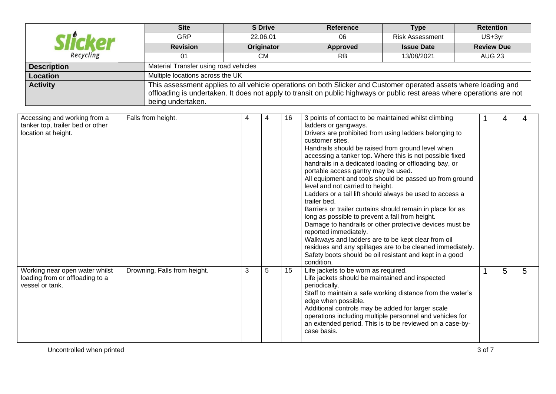|                      | <b>Site</b>                           | <b>S</b> Drive | <b>Reference</b>                                                                                                        | <b>Type</b>            | <b>Retention</b>  |  |  |  |  |  |
|----------------------|---------------------------------------|----------------|-------------------------------------------------------------------------------------------------------------------------|------------------------|-------------------|--|--|--|--|--|
| <i><b>Hicker</b></i> | <b>GRP</b>                            | 22.06.01       | 06                                                                                                                      | <b>Risk Assessment</b> | US+3yr            |  |  |  |  |  |
|                      | <b>Revision</b>                       | Originator     | <b>Approved</b>                                                                                                         | <b>Issue Date</b>      | <b>Review Due</b> |  |  |  |  |  |
| Recycling            | 01                                    | CМ             | <b>RB</b>                                                                                                               | 13/08/2021             | AUG 23            |  |  |  |  |  |
| <b>Description</b>   | Material Transfer using road vehicles |                |                                                                                                                         |                        |                   |  |  |  |  |  |
| <b>Location</b>      | Multiple locations across the UK      |                |                                                                                                                         |                        |                   |  |  |  |  |  |
| <b>Activity</b>      |                                       |                | This assessment applies to all vehicle operations on both Slicker and Customer operated assets where loading and        |                        |                   |  |  |  |  |  |
|                      |                                       |                | offloading is undertaken. It does not apply to transit on public highways or public rest areas where operations are not |                        |                   |  |  |  |  |  |
|                      | being undertaken.                     |                |                                                                                                                         |                        |                   |  |  |  |  |  |

| Accessing and working from a<br>tanker top, trailer bed or other<br>location at height. | Falls from height.           |   | 4 | 16 | 3 points of contact to be maintained whilst climbing<br>ladders or gangways.<br>Drivers are prohibited from using ladders belonging to<br>customer sites.<br>Handrails should be raised from ground level when<br>accessing a tanker top. Where this is not possible fixed<br>handrails in a dedicated loading or offloading bay, or<br>portable access gantry may be used.<br>All equipment and tools should be passed up from ground<br>level and not carried to height.<br>Ladders or a tail lift should always be used to access a<br>trailer bed.<br>Barriers or trailer curtains should remain in place for as<br>long as possible to prevent a fall from height.<br>Damage to handrails or other protective devices must be<br>reported immediately.<br>Walkways and ladders are to be kept clear from oil<br>residues and any spillages are to be cleaned immediately.<br>Safety boots should be oil resistant and kept in a good<br>condition. | 4 | 4 |
|-----------------------------------------------------------------------------------------|------------------------------|---|---|----|---------------------------------------------------------------------------------------------------------------------------------------------------------------------------------------------------------------------------------------------------------------------------------------------------------------------------------------------------------------------------------------------------------------------------------------------------------------------------------------------------------------------------------------------------------------------------------------------------------------------------------------------------------------------------------------------------------------------------------------------------------------------------------------------------------------------------------------------------------------------------------------------------------------------------------------------------------|---|---|
| Working near open water whilst<br>loading from or offloading to a<br>vessel or tank.    | Drowning, Falls from height. | 3 | 5 | 15 | Life jackets to be worn as required.<br>Life jackets should be maintained and inspected<br>periodically.<br>Staff to maintain a safe working distance from the water's<br>edge when possible.<br>Additional controls may be added for larger scale<br>operations including multiple personnel and vehicles for<br>an extended period. This is to be reviewed on a case-by-<br>case basis.                                                                                                                                                                                                                                                                                                                                                                                                                                                                                                                                                               | 5 | 5 |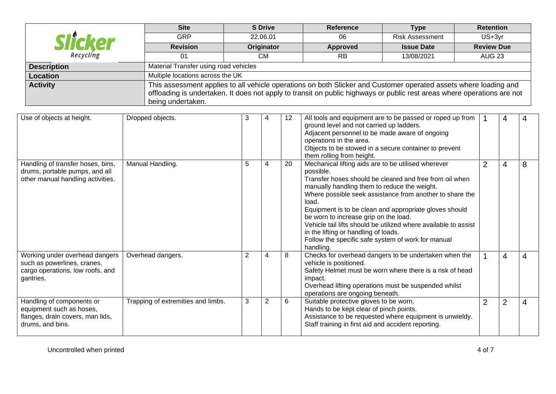|                       | <b>Site</b>                           | <b>S</b> Drive | <b>Reference</b>                                                                                                        | Type                   | <b>Retention</b>  |  |  |  |  |  |  |
|-----------------------|---------------------------------------|----------------|-------------------------------------------------------------------------------------------------------------------------|------------------------|-------------------|--|--|--|--|--|--|
| <i><b>ilicker</b></i> | GRP                                   | 22.06.01       | 06                                                                                                                      | <b>Risk Assessment</b> | US+3yr            |  |  |  |  |  |  |
|                       | <b>Revision</b>                       | Originator     | Approved                                                                                                                | <b>Issue Date</b>      | <b>Review Due</b> |  |  |  |  |  |  |
| Recycling             |                                       | CМ             | <b>RB</b>                                                                                                               | 13/08/2021             | <b>AUG 23</b>     |  |  |  |  |  |  |
| <b>Description</b>    | Material Transfer using road vehicles |                |                                                                                                                         |                        |                   |  |  |  |  |  |  |
| Location              | Multiple locations across the UK      |                |                                                                                                                         |                        |                   |  |  |  |  |  |  |
| <b>Activity</b>       |                                       |                | This assessment applies to all vehicle operations on both Slicker and Customer operated assets where loading and        |                        |                   |  |  |  |  |  |  |
|                       |                                       |                | offloading is undertaken. It does not apply to transit on public highways or public rest areas where operations are not |                        |                   |  |  |  |  |  |  |
|                       | being undertaken.                     |                |                                                                                                                         |                        |                   |  |  |  |  |  |  |

| Use of objects at height.                                                                                      | Dropped objects.                   | 3 | 4              | 12 | All tools and equipment are to be passed or roped up from<br>ground level and not carried up ladders.<br>Adjacent personnel to be made aware of ongoing<br>operations in the area.<br>Objects to be stowed in a secure container to prevent<br>them rolling from height.                                                                                                                                                                                                                                                          |                | 4              |   |
|----------------------------------------------------------------------------------------------------------------|------------------------------------|---|----------------|----|-----------------------------------------------------------------------------------------------------------------------------------------------------------------------------------------------------------------------------------------------------------------------------------------------------------------------------------------------------------------------------------------------------------------------------------------------------------------------------------------------------------------------------------|----------------|----------------|---|
| Handling of transfer hoses, bins,<br>drums, portable pumps, and all<br>other manual handling activities.       | Manual Handling.                   | 5 | 4              | 20 | Mechanical lifting aids are to be utilised wherever<br>possible.<br>Transfer hoses should be cleared and free from oil when<br>manually handling them to reduce the weight.<br>Where possible seek assistance from another to share the<br>load.<br>Equipment is to be clean and appropriate gloves should<br>be worn to increase grip on the load.<br>Vehicle tail lifts should be utilized where available to assist<br>in the lifting or handling of loads.<br>Follow the specific safe system of work for manual<br>handling. | $\overline{2}$ | 4              | 8 |
| Working under overhead dangers<br>such as powerlines, cranes,<br>cargo operations, low roofs, and<br>gantries. | Overhead dangers.                  | 2 | 4              | 8  | Checks for overhead dangers to be undertaken when the<br>vehicle is positioned.<br>Safety Helmet must be worn where there is a risk of head<br>impact.<br>Overhead lifting operations must be suspended whilst<br>operations are ongoing beneath.                                                                                                                                                                                                                                                                                 |                | 4              | 4 |
| Handling of components or<br>equipment such as hoses,<br>flanges, drain covers, man lids,<br>drums, and bins.  | Trapping of extremities and limbs. | 3 | $\overline{2}$ | 6  | Suitable protective gloves to be worn.<br>Hands to be kept clear of pinch points.<br>Assistance to be requested where equipment is unwieldy.<br>Staff training in first aid and accident reporting.                                                                                                                                                                                                                                                                                                                               | $\overline{2}$ | $\overline{2}$ | 4 |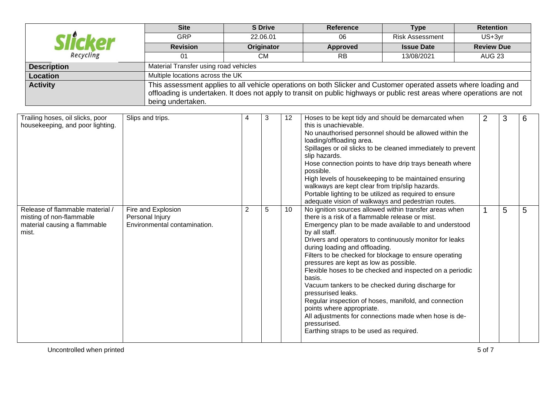|                    | <b>Site</b>                                                                                                             | <b>S</b> Drive | <b>Reference</b>                                                                                                 | Type                   | <b>Retention</b>  |  |  |  |  |  |  |
|--------------------|-------------------------------------------------------------------------------------------------------------------------|----------------|------------------------------------------------------------------------------------------------------------------|------------------------|-------------------|--|--|--|--|--|--|
| licker             | <b>GRP</b>                                                                                                              | 22.06.01       | 06                                                                                                               | <b>Risk Assessment</b> | US+3yr            |  |  |  |  |  |  |
|                    | <b>Revision</b>                                                                                                         | Originator     | Approved                                                                                                         | <b>Issue Date</b>      | <b>Review Due</b> |  |  |  |  |  |  |
| Recycling          | 01                                                                                                                      | CМ             | <b>RB</b>                                                                                                        | 13/08/2021             | <b>AUG 23</b>     |  |  |  |  |  |  |
| <b>Description</b> | Material Transfer using road vehicles                                                                                   |                |                                                                                                                  |                        |                   |  |  |  |  |  |  |
| Location           | Multiple locations across the UK                                                                                        |                |                                                                                                                  |                        |                   |  |  |  |  |  |  |
| <b>Activity</b>    |                                                                                                                         |                | This assessment applies to all vehicle operations on both Slicker and Customer operated assets where loading and |                        |                   |  |  |  |  |  |  |
|                    | offloading is undertaken. It does not apply to transit on public highways or public rest areas where operations are not |                |                                                                                                                  |                        |                   |  |  |  |  |  |  |
|                    | being undertaken.                                                                                                       |                |                                                                                                                  |                        |                   |  |  |  |  |  |  |

| Trailing hoses, oil slicks, poor<br>housekeeping, and poor lighting.                                 | Slips and trips.                                                      |                | 3 | 12 | Hoses to be kept tidy and should be demarcated when<br>this is unachievable.<br>No unauthorised personnel should be allowed within the<br>loading/offloading area.<br>Spillages or oil slicks to be cleaned immediately to prevent<br>slip hazards.<br>Hose connection points to have drip trays beneath where<br>possible.<br>High levels of housekeeping to be maintained ensuring<br>walkways are kept clear from trip/slip hazards.<br>Portable lighting to be utilized as required to ensure<br>adequate vision of walkways and pedestrian routes.                                                                                                                                                                                         | $\overline{2}$ | 3 | 6 |
|------------------------------------------------------------------------------------------------------|-----------------------------------------------------------------------|----------------|---|----|-------------------------------------------------------------------------------------------------------------------------------------------------------------------------------------------------------------------------------------------------------------------------------------------------------------------------------------------------------------------------------------------------------------------------------------------------------------------------------------------------------------------------------------------------------------------------------------------------------------------------------------------------------------------------------------------------------------------------------------------------|----------------|---|---|
| Release of flammable material /<br>misting of non-flammable<br>material causing a flammable<br>mist. | Fire and Explosion<br>Personal Injury<br>Environmental contamination. | $\overline{2}$ | 5 | 10 | No ignition sources allowed within transfer areas when<br>there is a risk of a flammable release or mist.<br>Emergency plan to be made available to and understood<br>by all staff.<br>Drivers and operators to continuously monitor for leaks<br>during loading and offloading.<br>Filters to be checked for blockage to ensure operating<br>pressures are kept as low as possible.<br>Flexible hoses to be checked and inspected on a periodic<br>basis.<br>Vacuum tankers to be checked during discharge for<br>pressurised leaks.<br>Regular inspection of hoses, manifold, and connection<br>points where appropriate.<br>All adjustments for connections made when hose is de-<br>pressurised.<br>Earthing straps to be used as required. |                | 5 | 5 |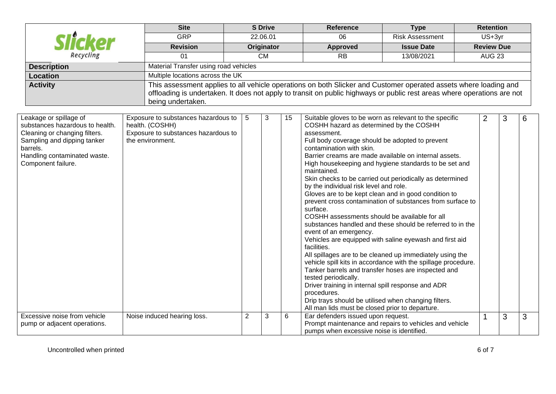|                                                                                                                                                                                             | <b>Site</b>                                                                                                                                                                                                                                                      |                | <b>S</b> Drive |    | <b>Reference</b>                                                                                                                                                                                                                                                                                                                                                                                                                                                                                                                                                                                                                                                                                                                                                                                                                                                                                                                                                                                                                                                                                                                                                                      | <b>Type</b>            |                   | <b>Retention</b> |               |   |  |
|---------------------------------------------------------------------------------------------------------------------------------------------------------------------------------------------|------------------------------------------------------------------------------------------------------------------------------------------------------------------------------------------------------------------------------------------------------------------|----------------|----------------|----|---------------------------------------------------------------------------------------------------------------------------------------------------------------------------------------------------------------------------------------------------------------------------------------------------------------------------------------------------------------------------------------------------------------------------------------------------------------------------------------------------------------------------------------------------------------------------------------------------------------------------------------------------------------------------------------------------------------------------------------------------------------------------------------------------------------------------------------------------------------------------------------------------------------------------------------------------------------------------------------------------------------------------------------------------------------------------------------------------------------------------------------------------------------------------------------|------------------------|-------------------|------------------|---------------|---|--|
|                                                                                                                                                                                             | <b>GRP</b>                                                                                                                                                                                                                                                       |                | 22.06.01       |    | $\overline{06}$                                                                                                                                                                                                                                                                                                                                                                                                                                                                                                                                                                                                                                                                                                                                                                                                                                                                                                                                                                                                                                                                                                                                                                       | <b>Risk Assessment</b> |                   | US+3yr           |               |   |  |
|                                                                                                                                                                                             | <b>Revision</b>                                                                                                                                                                                                                                                  |                | Originator     |    | <b>Approved</b>                                                                                                                                                                                                                                                                                                                                                                                                                                                                                                                                                                                                                                                                                                                                                                                                                                                                                                                                                                                                                                                                                                                                                                       | <b>Issue Date</b>      | <b>Review Due</b> |                  |               |   |  |
| Recycling                                                                                                                                                                                   | 01                                                                                                                                                                                                                                                               |                | CM             |    | RE                                                                                                                                                                                                                                                                                                                                                                                                                                                                                                                                                                                                                                                                                                                                                                                                                                                                                                                                                                                                                                                                                                                                                                                    | 13/08/2021             |                   |                  | <b>AUG 23</b> |   |  |
| <b>Description</b>                                                                                                                                                                          | Material Transfer using road vehicles                                                                                                                                                                                                                            |                |                |    |                                                                                                                                                                                                                                                                                                                                                                                                                                                                                                                                                                                                                                                                                                                                                                                                                                                                                                                                                                                                                                                                                                                                                                                       |                        |                   |                  |               |   |  |
| <b>Location</b>                                                                                                                                                                             | Multiple locations across the UK                                                                                                                                                                                                                                 |                |                |    |                                                                                                                                                                                                                                                                                                                                                                                                                                                                                                                                                                                                                                                                                                                                                                                                                                                                                                                                                                                                                                                                                                                                                                                       |                        |                   |                  |               |   |  |
| <b>Activity</b>                                                                                                                                                                             | This assessment applies to all vehicle operations on both Slicker and Customer operated assets where loading and<br>offloading is undertaken. It does not apply to transit on public highways or public rest areas where operations are not<br>being undertaken. |                |                |    |                                                                                                                                                                                                                                                                                                                                                                                                                                                                                                                                                                                                                                                                                                                                                                                                                                                                                                                                                                                                                                                                                                                                                                                       |                        |                   |                  |               |   |  |
| Leakage or spillage of<br>substances hazardous to health.<br>Cleaning or changing filters.<br>Sampling and dipping tanker<br>barrels.<br>Handling contaminated waste.<br>Component failure. | Exposure to substances hazardous to<br>health. (COSHH)<br>Exposure to substances hazardous to<br>the environment.                                                                                                                                                | 5              | 3              | 15 | Suitable gloves to be worn as relevant to the specific<br>COSHH hazard as determined by the COSHH<br>assessment.<br>Full body coverage should be adopted to prevent<br>contamination with skin.<br>Barrier creams are made available on internal assets.<br>High housekeeping and hygiene standards to be set and<br>maintained.<br>Skin checks to be carried out periodically as determined<br>by the individual risk level and role.<br>Gloves are to be kept clean and in good condition to<br>prevent cross contamination of substances from surface to<br>surface.<br>COSHH assessments should be available for all<br>substances handled and these should be referred to in the<br>event of an emergency.<br>Vehicles are equipped with saline eyewash and first aid<br>facilities.<br>All spillages are to be cleaned up immediately using the<br>vehicle spill kits in accordance with the spillage procedure.<br>Tanker barrels and transfer hoses are inspected and<br>tested periodically.<br>Driver training in internal spill response and ADR<br>procedures.<br>Drip trays should be utilised when changing filters.<br>All man lids must be closed prior to departure. |                        |                   | $\overline{2}$   | 3             | 6 |  |
| Excessive noise from vehicle<br>pump or adjacent operations.                                                                                                                                | Noise induced hearing loss.                                                                                                                                                                                                                                      | $\overline{2}$ | 3              | 6  | Ear defenders issued upon request.<br>Prompt maintenance and repairs to vehicles and vehicle<br>pumps when excessive noise is identified.                                                                                                                                                                                                                                                                                                                                                                                                                                                                                                                                                                                                                                                                                                                                                                                                                                                                                                                                                                                                                                             |                        |                   | 1                | 3             | 3 |  |